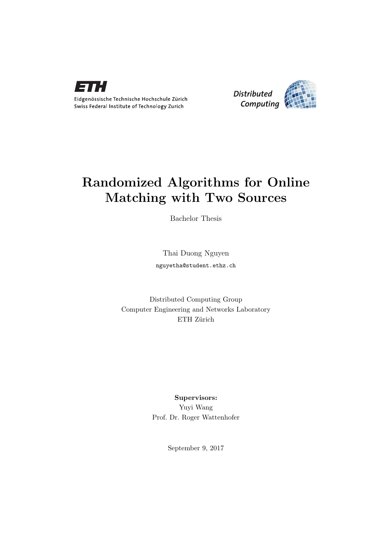



## Randomized Algorithms for Online Matching with Two Sources

Bachelor Thesis

Thai Duong Nguyen nguyetha@student.ethz.ch

Distributed Computing Group Computer Engineering and Networks Laboratory ETH Zürich

> Supervisors: Yuyi Wang Prof. Dr. Roger Wattenhofer

> > September 9, 2017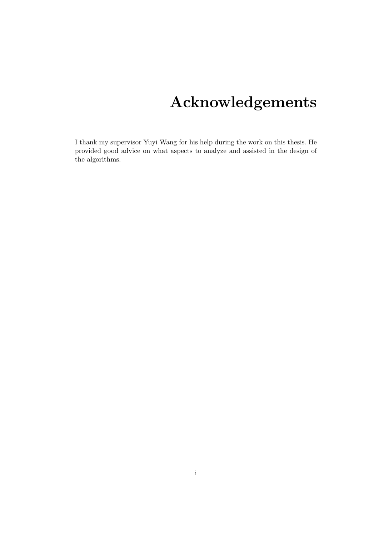# Acknowledgements

<span id="page-1-0"></span>I thank my supervisor Yuyi Wang for his help during the work on this thesis. He provided good advice on what aspects to analyze and assisted in the design of the algorithms.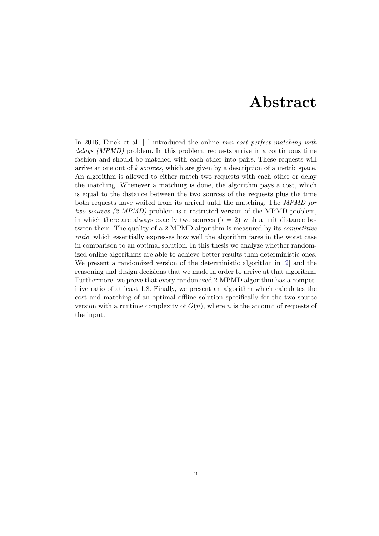## Abstract

<span id="page-2-0"></span>In 2016, Emek et al. [\[1\]](#page-22-0) introduced the online min-cost perfect matching with delays (MPMD) problem. In this problem, requests arrive in a continuous time fashion and should be matched with each other into pairs. These requests will arrive at one out of k sources, which are given by a description of a metric space. An algorithm is allowed to either match two requests with each other or delay the matching. Whenever a matching is done, the algorithm pays a cost, which is equal to the distance between the two sources of the requests plus the time both requests have waited from its arrival until the matching. The MPMD for two sources (2-MPMD) problem is a restricted version of the MPMD problem, in which there are always exactly two sources  $(k = 2)$  with a unit distance between them. The quality of a 2-MPMD algorithm is measured by its competitive ratio, which essentially expresses how well the algorithm fares in the worst case in comparison to an optimal solution. In this thesis we analyze whether randomized online algorithms are able to achieve better results than deterministic ones. We present a randomized version of the deterministic algorithm in [\[2\]](#page-22-1) and the reasoning and design decisions that we made in order to arrive at that algorithm. Furthermore, we prove that every randomized 2-MPMD algorithm has a competitive ratio of at least 1.8. Finally, we present an algorithm which calculates the cost and matching of an optimal offline solution specifically for the two source version with a runtime complexity of  $O(n)$ , where n is the amount of requests of the input.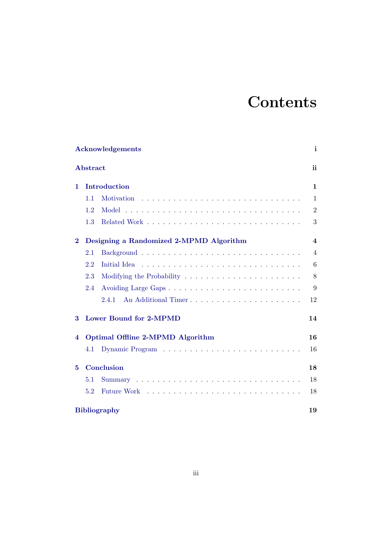# **Contents**

| <b>Acknowledgements</b> |     |                                                                                                                                                                                                                                |                |
|-------------------------|-----|--------------------------------------------------------------------------------------------------------------------------------------------------------------------------------------------------------------------------------|----------------|
| Abstract                |     |                                                                                                                                                                                                                                | ii             |
| 1.                      |     | Introduction                                                                                                                                                                                                                   | $\mathbf{1}$   |
|                         | 1.1 |                                                                                                                                                                                                                                | $\mathbf{1}$   |
|                         | 1.2 |                                                                                                                                                                                                                                | $\overline{2}$ |
|                         | 1.3 |                                                                                                                                                                                                                                | 3              |
| $\bf{2}$                |     | Designing a Randomized 2-MPMD Algorithm                                                                                                                                                                                        | 4              |
|                         | 2.1 |                                                                                                                                                                                                                                | $\overline{4}$ |
|                         | 2.2 |                                                                                                                                                                                                                                | 6              |
|                         | 2.3 | Modifying the Probability $\dots \dots \dots \dots \dots \dots \dots \dots$                                                                                                                                                    | 8              |
|                         | 2.4 |                                                                                                                                                                                                                                | 9              |
|                         |     | An Additional Timer<br>2.4.1                                                                                                                                                                                                   | 12             |
| 3                       |     | <b>Lower Bound for 2-MPMD</b>                                                                                                                                                                                                  | 14             |
| 4                       |     | Optimal Offline 2-MPMD Algorithm                                                                                                                                                                                               | 16             |
|                         | 4.1 |                                                                                                                                                                                                                                | 16             |
| 5                       |     | Conclusion                                                                                                                                                                                                                     | 18             |
|                         | 5.1 |                                                                                                                                                                                                                                | 18             |
|                         | 5.2 | Future Work residence in the series of the contract was series to the series of the series of the series of the series of the series of the series of the series of the series of the series of the series of the series of th | 18             |
| <b>Bibliography</b>     |     |                                                                                                                                                                                                                                | 19             |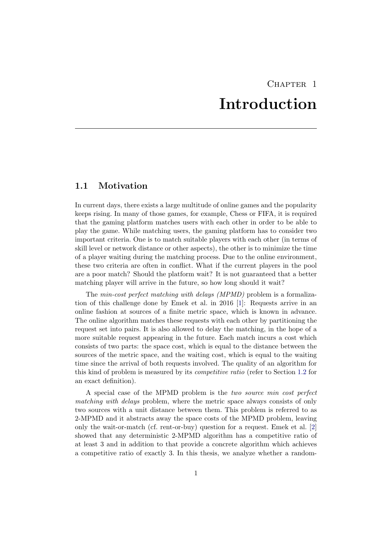## CHAPTER<sub>1</sub> Introduction

### <span id="page-4-1"></span><span id="page-4-0"></span>1.1 Motivation

In current days, there exists a large multitude of online games and the popularity keeps rising. In many of those games, for example, Chess or FIFA, it is required that the gaming platform matches users with each other in order to be able to play the game. While matching users, the gaming platform has to consider two important criteria. One is to match suitable players with each other (in terms of skill level or network distance or other aspects), the other is to minimize the time of a player waiting during the matching process. Due to the online environment, these two criteria are often in conflict. What if the current players in the pool are a poor match? Should the platform wait? It is not guaranteed that a better matching player will arrive in the future, so how long should it wait?

The min-cost perfect matching with delays (MPMD) problem is a formalization of this challenge done by Emek et al. in 2016 [1]: Requests arrive in an online fashion at sources of a finite metric space, which is known in advance. The online algorithm matches these requests with each other by partitioning the request set into pairs. It is also allowed to delay the matching, in the hope of a more suitable request appearing in the future. Each match incurs a cost which consists of two parts: the space cost, which is equal to the distance between the sources of the metric space, and the waiting cost, which is equal to the waiting time since the arrival of both requests involved. The quality of an algorithm for this kind of problem is measured by its competitive ratio (refer to Section 1.2 for an exact definition).

A special case of the MPMD problem is the two source min cost perfect matching with delays problem, where the metric space always consists of only two sources with a unit distance between them. This problem is referred to as 2-MPMD and it abstracts away the space costs of the MPMD problem, leaving only the wait-or-match (cf. rent-or-buy) question for a request. Emek et al. [2] showed that any deterministic 2-MPMD algorithm has a competitive ratio of at least 3 and in addition to that provide a concrete algorithm which achieves a competitive ratio of exactly 3. In this thesis, we analyze whether a random-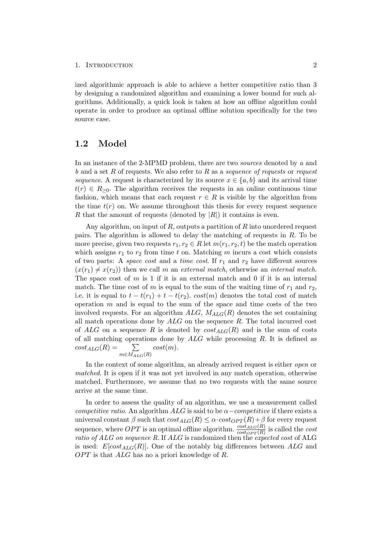#### 1. INTRODUCTION 2

ized algorithmic approach is able to achieve a better competitive ratio than 3 by designing a randomized algorithm and examining a lower bound for such algorithms. Additionally, a quick look is taken at how an offline algorithm could operate in order to produce an optimal offline solution specifically for the two source case.

#### <span id="page-5-0"></span>1.2 Model

In an instance of the 2-MPMD problem, there are two sources denoted by a and b and a set R of requests. We also refer to R as a sequence of requests or request sequence. A request is characterized by its source  $x \in \{a, b\}$  and its arrival time  $t(r) \in R_{\geq 0}$ . The algorithm receives the requests in an online continuous time fashion, which means that each request  $r \in R$  is visible by the algorithm from the time  $t(r)$  on. We assume throughout this thesis for every request sequence R that the amount of requests (denoted by  $|R|$ ) it contains is even.

Any algorithm, on input of  $R$ , outputs a partition of  $R$  into unordered request pairs. The algorithm is allowed to delay the matching of requests in R. To be more precise, given two requests  $r_1, r_2 \in R$  let  $m(r_1, r_2, t)$  be the match operation which assigns  $r_1$  to  $r_2$  from time t on. Matching m incurs a cost which consists of two parts: A space cost and a time cost. If  $r_1$  and  $r_2$  have different sources  $(x(r_1) \neq x(r_2))$  then we call m an external match, otherwise an internal match. The space cost of  $m$  is 1 if it is an external match and 0 if it is an internal match. The time cost of m is equal to the sum of the waiting time of  $r_1$  and  $r_2$ , i.e. it is equal to  $t - t(r_1) + t - t(r_2)$ .  $cost(m)$  denotes the total cost of match operation  $m$  and is equal to the sum of the space and time costs of the two involved requests. For an algorithm  $ALG$ ,  $M_{ALG}(R)$  denotes the set containing all match operations done by  $ALG$  on the sequence  $R$ . The total incurred cost of ALG on a sequence R is denoted by  $cost_{ALG}(R)$  and is the sum of costs of all matching operations done by ALG while processing R. It is defined as  $cost_{ALG}(R) =$  $\sum_{m\in M_{ALG}(R)}$  $cost(m)$ .

In the context of some algorithm, an already arrived request is either open or matched. It is open if it was not yet involved in any match operation, otherwise matched. Furthermore, we assume that no two requests with the same source arrive at the same time.

In order to assess the quality of an algorithm, we use a measurement called competitive ratio. An algorithm ALG is said to be  $\alpha$  – competitive if there exists a universal constant  $\beta$  such that  $cost_{ALG}(R) \leq \alpha \cdot cost_{OPT}(R) + \beta$  for every request sequence, where  $OPT$  is an optimal offline algorithm.  $\frac{cost_{ALG}(R)}{cost_{OPT}(R)}$  is called the cost ratio of ALG on sequence R. If ALG is randomized then the expected cost of ALG is used:  $E[cost_{ALG}(R)]$ . One of the notably big differences between ALG and  $OPT$  is that  $ALG$  has no a priori knowledge of R.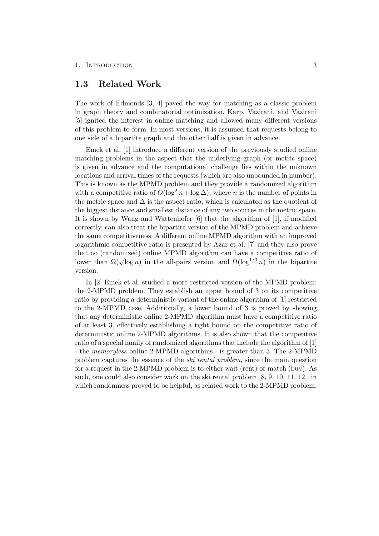#### 1. INTRODUCTION 3

#### <span id="page-6-0"></span>1.3 Related Work

The work of Edmonds [\[3,](#page-22-3) [4\]](#page-22-4) paved the way for matching as a classic problem in graph theory and combinatorial optimization. Karp, Vazirani, and Vazirani [\[5\]](#page-22-8) ignited the interest in online matching and allowed many different versions of this problem to form. In most versions, it is assumed that requests belong to one side of a bipartite graph and the other half is given in advance.

Emek et al. [1] introduce a different version of the previously studied online matching problems in the aspect that the underlying graph (or metric space) is given in advance and the computational challenge lies within the unknown locations and arrival times of the requests (which are also unbounded in number). This is known as the MPMD problem and they provide a randomized algorithm with a competitive ratio of  $O(\log^2 n + \log \Delta)$ , where n is the number of points in the metric space and  $\Delta$  is the aspect ratio, which is calculated as the quotient of the biggest distance and smallest distance of any two sources in the metric space. It is shown by Wang and Wattenhofer [\[6\]](#page-22-6) that the algorithm of [1], if modified correctly, can also treat the bipartite version of the MPMD problem and achieve the same competitiveness. A different online MPMD algorithm with an improved logarithmic competitive ratio is presented by Azar et al. [\[7\]](#page-22-10) and they also prove that no (randomized) online MPMD algorithm can have a competitive ratio of lower than  $\Omega(\sqrt{\log n})$  in the all-pairs version and  $\Omega(\log^{1/3} n)$  in the bipartite version.

In [2] Emek et al. studied a more restricted version of the MPMD problem: the 2-MPMD problem. They establish an upper bound of 3 on its competitive ratio by providing a deterministic variant of the online algorithm of [1] restricted to the 2-MPMD case. Additionally, a lower bound of 3 is proved by showing that any deterministic online 2-MPMD algorithm must have a competitive ratio of at least 3, effectively establishing a tight bound on the competitive ratio of deterministic online 2-MPMD algorithms. It is also shown that the competitive ratio of a special family of randomized algorithms that include the algorithm of [1] - the memoryless online 2-MPMD algorithms - is greater than 3. The 2-MPMD problem captures the essence of the ski rental problem, since the main question for a request in the 2-MPMD problem is to either wait (rent) or match (buy). As such, one could also consider work on the ski rental problem [\[8,](#page-22-11) [9,](#page-22-5) [10,](#page-22-12) [11,](#page-22-7) [12\]](#page-22-9), in which randomness proved to be helpful, as related work to the 2-MPMD problem.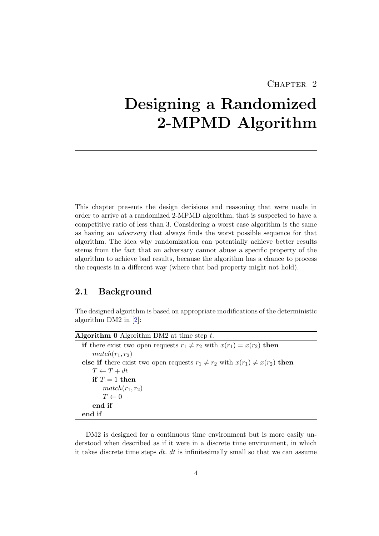## CHAPTER<sub>2</sub>

# <span id="page-7-0"></span>Designing a Randomized 2-MPMD Algorithm

This chapter presents the design decisions and reasoning that were made in order to arrive at a randomized 2-MPMD algorithm, that is suspected to have a competitive ratio of less than 3. Considering a worst case algorithm is the same as having an adversary that always finds the worst possible sequence for that algorithm. The idea why randomization can potentially achieve better results stems from the fact that an adversary cannot abuse a specific property of the algorithm to achieve bad results, because the algorithm has a chance to process the requests in a different way (where that bad property might not hold).

### <span id="page-7-1"></span>2.1 Background

The designed algorithm is based on appropriate modifications of the deterministic algorithm DM2 in [2]:

DM2 is designed for a continuous time environment but is more easily understood when described as if it were in a discrete time environment, in which it takes discrete time steps  $dt$ .  $dt$  is infinitesimally small so that we can assume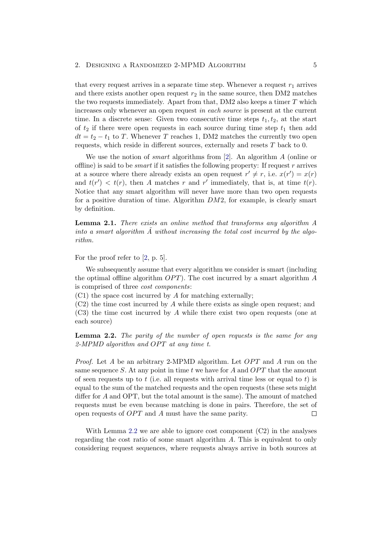#### 2. DESIGNING A RANDOMIZED 2-MPMD ALGORITHM 5

that every request arrives in a separate time step. Whenever a request  $r_1$  arrives and there exists another open request  $r_2$  in the same source, then DM2 matches the two requests immediately. Apart from that,  $DM2$  also keeps a timer  $T$  which increases only whenever an open request in each source is present at the current time. In a discrete sense: Given two consecutive time steps  $t_1, t_2$ , at the start of  $t_2$  if there were open requests in each source during time step  $t_1$  then add  $dt = t_2 - t_1$  to T. Whenever T reaches 1, DM2 matches the currently two open requests, which reside in different sources, externally and resets T back to 0.

We use the notion of *smart* algorithms from [2]. An algorithm A (online or offline) is said to be *smart* if it satisfies the following property: If request r arrives at a source where there already exists an open request  $r' \neq r$ , i.e.  $x(r') = x(r)$ and  $t(r') < t(r)$ , then A matches r and r' immediately, that is, at time  $t(r)$ . Notice that any smart algorithm will never have more than two open requests for a positive duration of time. Algorithm DM2, for example, is clearly smart by definition.

Lemma 2.1. There exists an online method that transforms any algorithm A into a smart algorithm  $\tilde{A}$  without increasing the total cost incurred by the algorithm.

For the proof refer to [2, p. 5].

We subsequently assume that every algorithm we consider is smart (including the optimal offline algorithm  $OPT$ ). The cost incurred by a smart algorithm A is comprised of three cost components:

(C1) the space cost incurred by A for matching externally;

 $(C2)$  the time cost incurred by A while there exists as single open request; and (C3) the time cost incurred by A while there exist two open requests (one at each source)

<span id="page-8-0"></span>Lemma 2.2. The parity of the number of open requests is the same for any  $2-MPMD$  algorithm and OPT at any time t.

*Proof.* Let A be an arbitrary 2-MPMD algorithm. Let  $OPT$  and A run on the same sequence S. At any point in time t we have for A and  $OPT$  that the amount of seen requests up to t (i.e. all requests with arrival time less or equal to t) is equal to the sum of the matched requests and the open requests (these sets might differ for A and OPT, but the total amount is the same). The amount of matched requests must be even because matching is done in pairs. Therefore, the set of open requests of  $OPT$  and  $A$  must have the same parity.  $\Box$ 

With Lemma  $2.2$  we are able to ignore cost component  $(C2)$  in the analyses regarding the cost ratio of some smart algorithm A. This is equivalent to only considering request sequences, where requests always arrive in both sources at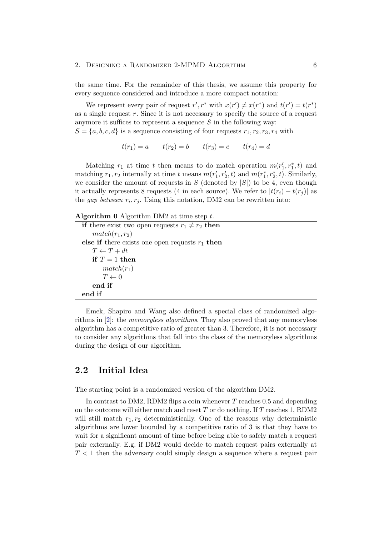#### 2. DESIGNING A RANDOMIZED 2-MPMD ALGORITHM 6

the same time. For the remainder of this thesis, we assume this property for every sequence considered and introduce a more compact notation:

We represent every pair of request  $r', r^*$  with  $x(r') \neq x(r^*)$  and  $t(r') = t(r^*)$ as a single request  $r$ . Since it is not necessary to specify the source of a request anymore it suffices to represent a sequence  $S$  in the following way:

 $S = \{a, b, c, d\}$  is a sequence consisting of four requests  $r_1, r_2, r_3, r_4$  with

$$
t(r_1) = a
$$
  $t(r_2) = b$   $t(r_3) = c$   $t(r_4) = d$ 

Matching  $r_1$  at time t then means to do match operation  $m(r'_1, r_1^*, t)$  and matching  $r_1, r_2$  internally at time t means  $m(r'_1, r'_2, t)$  and  $m(r_1^*, r_2^*, t)$ . Similarly, we consider the amount of requests in  $S$  (denoted by  $|S|$ ) to be 4, even though it actually represents 8 requests (4 in each source). We refer to  $|t(r_i) - t(r_j)|$  as the *gap between*  $r_i, r_j$ . Using this notation, DM2 can be rewritten into:

| <b>Algorithm 0</b> Algorithm DM2 at time step $t$ .         |  |  |  |  |
|-------------------------------------------------------------|--|--|--|--|
| <b>if</b> there exist two open requests $r_1 \neq r_2$ then |  |  |  |  |
| $match(r_1, r_2)$                                           |  |  |  |  |
| else if there exists one open requests $r_1$ then           |  |  |  |  |
| $T \leftarrow T + dt$                                       |  |  |  |  |
| if $T = 1$ then                                             |  |  |  |  |
| $match(r_1)$                                                |  |  |  |  |
| $T \leftarrow 0$                                            |  |  |  |  |
| end if                                                      |  |  |  |  |
| end if                                                      |  |  |  |  |

Emek, Shapiro and Wang also defined a special class of randomized algorithms in [2]: the memoryless algorithms. They also proved that any memoryless algorithm has a competitive ratio of greater than 3. Therefore, it is not necessary to consider any algorithms that fall into the class of the memoryless algorithms during the design of our algorithm.

### <span id="page-9-0"></span>2.2 Initial Idea

The starting point is a randomized version of the algorithm DM2.

In contrast to DM2, RDM2 flips a coin whenever T reaches 0.5 and depending on the outcome will either match and reset T or do nothing. If T reaches 1, RDM2 will still match  $r_1, r_2$  deterministically. One of the reasons why deterministic algorithms are lower bounded by a competitive ratio of 3 is that they have to wait for a significant amount of time before being able to safely match a request pair externally. E.g. if DM2 would decide to match request pairs externally at  $T < 1$  then the adversary could simply design a sequence where a request pair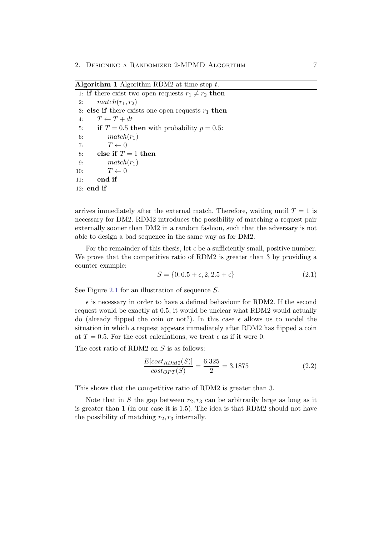Algorithm 1 Algorithm RDM2 at time step  $t$ .

<span id="page-10-0"></span>

| 1: if there exist two open requests $r_1 \neq r_2$ then |  |
|---------------------------------------------------------|--|
| $match(r_1, r_2)$<br>2:                                 |  |
| 3: else if there exists one open requests $r_1$ then    |  |
| $T \leftarrow T + dt$<br>4:                             |  |
| 5: if $T = 0.5$ then with probability $p = 0.5$ :       |  |
| $match(r_1)$<br>6:                                      |  |
| $T \leftarrow 0$<br>7:                                  |  |
| else if $T=1$ then<br>8:                                |  |
| $match(r_1)$<br>9:                                      |  |
| $T \leftarrow 0$<br>10:                                 |  |
| end if<br>11:                                           |  |
| $12:$ end if                                            |  |

arrives immediately after the external match. Therefore, waiting until  $T = 1$  is necessary for DM2. RDM2 introduces the possibility of matching a request pair externally sooner than DM2 in a random fashion, such that the adversary is not able to design a bad sequence in the same way as for DM2.

For the remainder of this thesis, let  $\epsilon$  be a sufficiently small, positive number. We prove that the competitive ratio of RDM2 is greater than 3 by providing a counter example:

$$
S = \{0, 0.5 + \epsilon, 2, 2.5 + \epsilon\}
$$
\n(2.1)

See Figure [2.1](#page-11-1) for an illustration of sequence S.

 $\epsilon$  is necessary in order to have a defined behaviour for RDM2. If the second request would be exactly at 0.5, it would be unclear what RDM2 would actually do (already flipped the coin or not?). In this case  $\epsilon$  allows us to model the situation in which a request appears immediately after RDM2 has flipped a coin at  $T = 0.5$ . For the cost calculations, we treat  $\epsilon$  as if it were 0.

The cost ratio of RDM2 on S is as follows:

$$
\frac{E[cost_{RDM2}(S)]}{cost_{OPT}(S)} = \frac{6.325}{2} = 3.1875\tag{2.2}
$$

This shows that the competitive ratio of RDM2 is greater than 3.

Note that in S the gap between  $r_2, r_3$  can be arbitrarily large as long as it is greater than 1 (in our case it is 1.5). The idea is that RDM2 should not have the possibility of matching  $r_2, r_3$  internally.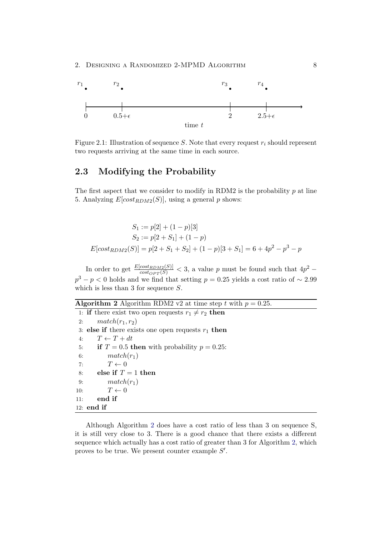

<span id="page-11-1"></span>Figure 2.1: Illustration of sequence S. Note that every request  $r_i$  should represent two requests arriving at the same time in each source.

#### <span id="page-11-0"></span>2.3 Modifying the Probability

The first aspect that we consider to modify in RDM2 is the probability  $p$  at line 5. Analyzing  $E[cost_{RDM2}(S)]$ , using a general p shows:

$$
S_1 := p[2] + (1 - p)[3]
$$
  
\n
$$
S_2 := p[2 + S_1] + (1 - p)
$$
  
\n
$$
E[cost_{RDM2}(S)] = p[2 + S_1 + S_2] + (1 - p)[3 + S_1] = 6 + 4p^2 - p^3 - p
$$

In order to get  $\frac{E[cost_{RDM2}(S)]}{cost_{OPT}(S)} < 3$ , a value p must be found such that  $4p^2$  –  $p^3 - p < 0$  holds and we find that setting  $p = 0.25$  yields a cost ratio of ~ 2.99 which is less than 3 for sequence  $S$ .

Algorithm 2 Algorithm RDM2 v2 at time step t with  $p = 0.25$ .

<span id="page-11-2"></span>1: if there exist two open requests  $r_1 \neq r_2$  then 2:  $match(r_1, r_2)$ 3: else if there exists one open requests  $r_1$  then 4:  $T \leftarrow T + dt$ 5: if  $T = 0.5$  then with probability  $p = 0.25$ : 6:  $match(r_1)$ 7:  $T \leftarrow 0$ 8: else if  $T = 1$  then 9:  $match(r_1)$ 10:  $T \leftarrow 0$ 11: end if 12: end if

Although Algorithm [2](#page-11-2) does have a cost ratio of less than 3 on sequence S, it is still very close to 3. There is a good chance that there exists a different sequence which actually has a cost ratio of greater than 3 for Algorithm 2, which proves to be true. We present counter example  $S'$ .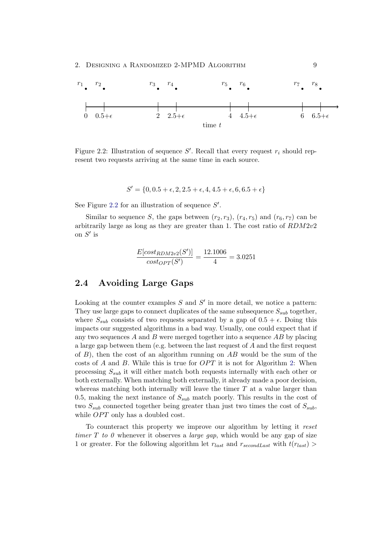

<span id="page-12-1"></span>Figure 2.2: Illustration of sequence  $S'$ . Recall that every request  $r_i$  should represent two requests arriving at the same time in each source.

$$
S' = \{0, 0.5 + \epsilon, 2, 2.5 + \epsilon, 4, 4.5 + \epsilon, 6, 6.5 + \epsilon\}
$$

See Figure [2.2](#page-12-1) for an illustration of sequence  $S'$ .

Similar to sequence S, the gaps between  $(r_2, r_3)$ ,  $(r_4, r_5)$  and  $(r_6, r_7)$  can be arbitrarily large as long as they are greater than 1. The cost ratio of RDM2v2 on  $S'$  is

$$
\frac{E[cost_{RDM2v2}(S')]}{cost_{OPT}(S')} = \frac{12.1006}{4} = 3.0251
$$

### <span id="page-12-0"></span>2.4 Avoiding Large Gaps

Looking at the counter examples  $S$  and  $S'$  in more detail, we notice a pattern: They use large gaps to connect duplicates of the same subsequence  $S_{sub}$  together, where  $S_{sub}$  consists of two requests separated by a gap of  $0.5 + \epsilon$ . Doing this impacts our suggested algorithms in a bad way. Usually, one could expect that if any two sequences  $A$  and  $B$  were merged together into a sequence  $AB$  by placing a large gap between them (e.g. between the last request of A and the first request of  $B$ ), then the cost of an algorithm running on  $AB$  would be the sum of the costs of A and B. While this is true for  $OPT$  it is not for Algorithm 2: When processing  $S_{sub}$  it will either match both requests internally with each other or both externally. When matching both externally, it already made a poor decision, whereas matching both internally will leave the timer  $T$  at a value larger than 0.5, making the next instance of  $S_{sub}$  match poorly. This results in the cost of two  $S_{sub}$  connected together being greater than just two times the cost of  $S_{sub}$ , while  $OPT$  only has a doubled cost.

To counteract this property we improve our algorithm by letting it reset timer T to 0 whenever it observes a *large gap*, which would be any gap of size 1 or greater. For the following algorithm let  $r_{last}$  and  $r_{secondLast}$  with  $t(r_{last}) >$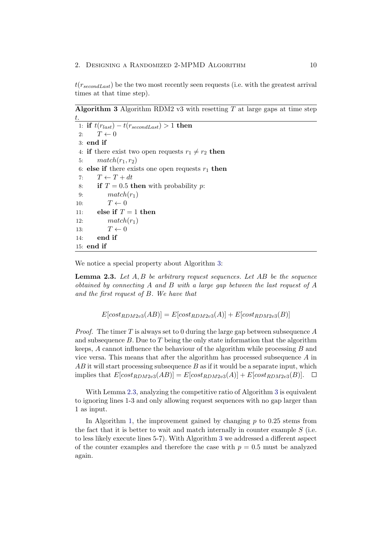$t(r_{secondLast})$  be the two most recently seen requests (i.e. with the greatest arrival times at that time step).

Algorithm 3 Algorithm RDM2 v3 with resetting T at large gaps at time step t.

```
1: if t(r_{last}) - t(r_{secondLast}) > 1 then
2: T \leftarrow 03: end if
4: if there exist two open requests r_1 \neq r_2 then
5: match(r_1, r_2)6: else if there exists one open requests r_1 then
7: T \leftarrow T + dt8: if T = 0.5 then with probability p:
9: match(r_1)10: T \leftarrow 011: else if T = 1 then
12: match(r_1)13: T \leftarrow 014: end if
15: end if
```
<span id="page-13-1"></span>We notice a special property about Algorithm [3:](#page-13-0)

**Lemma 2.3.** Let  $A, B$  be arbitrary request sequences. Let  $AB$  be the sequence obtained by connecting A and B with a large gap between the last request of A and the first request of B. We have that

$$
E[cost_{RDM2v3}(AB)] = E[cost_{RDM2v3}(A)] + E[cost_{RDM2v3}(B)]
$$

*Proof.* The timer T is always set to 0 during the large gap between subsequence A and subsequence  $B$ . Due to  $T$  being the only state information that the algorithm keeps,  $A$  cannot influence the behaviour of the algorithm while processing  $B$  and vice versa. This means that after the algorithm has processed subsequence  $A$  in  $AB$  it will start processing subsequence  $B$  as if it would be a separate input, which implies that  $E[cost_{RDM2v3}(AB)] = E[cost_{RDM2v3}(A)] + E[cost_{RDM2v3}(B)].$ 

With Lemma [2.3,](#page-13-1) analyzing the competitive ratio of Algorithm 3 is equivalent to ignoring lines 1-3 and only allowing request sequences with no gap larger than 1 as input.

In Algorithm [1,](#page-10-0) the improvement gained by changing  $p$  to 0.25 stems from the fact that it is better to wait and match internally in counter example  $S$  (i.e. to less likely execute lines 5-7). With Algorithm 3 we addressed a different aspect of the counter examples and therefore the case with  $p = 0.5$  must be analyzed again.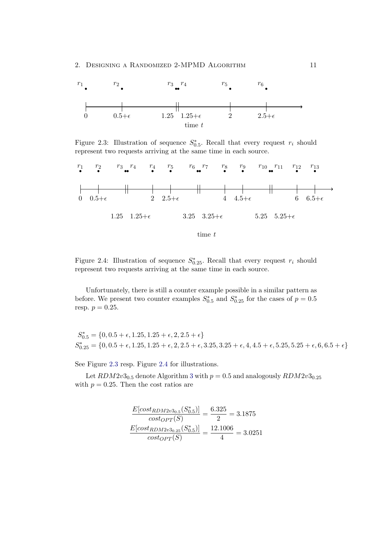#### 2. DESIGNING A RANDOMIZED 2-MPMD ALGORITHM 11



<span id="page-14-0"></span>Figure 2.3: Illustration of sequence  $S^*_{0.5}$ . Recall that every request  $r_i$  should represent two requests arriving at the same time in each source.



<span id="page-14-1"></span>Figure 2.4: Illustration of sequence  $S_{0.25}^*$ . Recall that every request  $r_i$  should represent two requests arriving at the same time in each source.

Unfortunately, there is still a counter example possible in a similar pattern as before. We present two counter examples  $S_{0.5}^*$  and  $S_{0.25}^*$  for the cases of  $p = 0.5$ resp.  $p = 0.25$ .

 $S_{0.5}^* = \{0, 0.5 + \epsilon, 1.25, 1.25 + \epsilon, 2, 2.5 + \epsilon\}$  $S_{0.25}^{*} = \{0, 0.5 + \epsilon, 1.25, 1.25 + \epsilon, 2, 2.5 + \epsilon, 3.25, 3.25 + \epsilon, 4, 4.5 + \epsilon, 5.25, 5.25 + \epsilon, 6, 6.5 + \epsilon\}$ 

See Figure [2.3](#page-14-0) resp. Figure [2.4](#page-14-1) for illustrations.

Let  $RDM2v3_{0.5}$  denote Algorithm 3 with  $p = 0.5$  and analogously  $RDM2v3_{0.25}$ with  $p = 0.25$ . Then the cost ratios are

$$
\frac{E[cost_{RDM2v30.5}(S_{0.5}^*)]}{cost_{OPT}(S)} = \frac{6.325}{2} = 3.1875
$$

$$
\frac{E[cost_{RDM2v30.25}(S_{0.5}^*)]}{cost_{OPT}(S)} = \frac{12.1006}{4} = 3.0251
$$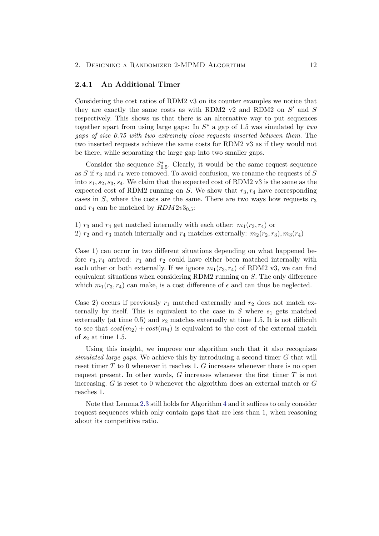#### <span id="page-15-0"></span>2.4.1 An Additional Timer

Considering the cost ratios of RDM2 v3 on its counter examples we notice that they are exactly the same costs as with RDM2  $v2$  and RDM2 on  $S'$  and S respectively. This shows us that there is an alternative way to put sequences together apart from using large gaps: In  $S^*$  a gap of 1.5 was simulated by two gaps of size 0.75 with two extremely close requests inserted between them. The two inserted requests achieve the same costs for RDM2 v3 as if they would not be there, while separating the large gap into two smaller gaps.

Consider the sequence  $S_{0.5}^*$ . Clearly, it would be the same request sequence as  $S$  if  $r_3$  and  $r_4$  were removed. To avoid confusion, we rename the requests of  $S$ into  $s_1, s_2, s_3, s_4$ . We claim that the expected cost of RDM2 v3 is the same as the expected cost of RDM2 running on S. We show that  $r_3, r_4$  have corresponding cases in S, where the costs are the same. There are two ways how requests  $r_3$ and  $r_4$  can be matched by  $RDM2v3_{0.5}$ :

1)  $r_3$  and  $r_4$  get matched internally with each other:  $m_1(r_3, r_4)$  or 2)  $r_2$  and  $r_3$  match internally and  $r_4$  matches externally:  $m_2(r_2, r_3)$ ,  $m_3(r_4)$ 

Case 1) can occur in two different situations depending on what happened before  $r_3, r_4$  arrived:  $r_1$  and  $r_2$  could have either been matched internally with each other or both externally. If we ignore  $m_1(r_3, r_4)$  of RDM2 v3, we can find equivalent situations when considering RDM2 running on S. The only difference which  $m_1(r_3, r_4)$  can make, is a cost difference of  $\epsilon$  and can thus be neglected.

Case 2) occurs if previously  $r_1$  matched externally and  $r_2$  does not match externally by itself. This is equivalent to the case in  $S$  where  $s_1$  gets matched externally (at time  $(0.5)$ ) and  $s_2$  matches externally at time 1.5. It is not difficult to see that  $cost(m_2) + cost(m_4)$  is equivalent to the cost of the external match of  $s_2$  at time 1.5.

Using this insight, we improve our algorithm such that it also recognizes simulated large gaps. We achieve this by introducing a second timer  $G$  that will reset timer  $T$  to 0 whenever it reaches 1.  $G$  increases whenever there is no open request present. In other words, G increases whenever the first timer T is not increasing. G is reset to 0 whenever the algorithm does an external match or G reaches 1.

Note that Lemma 2.3 still holds for Algorithm [4](#page-16-0) and it suffices to only consider request sequences which only contain gaps that are less than 1, when reasoning about its competitive ratio.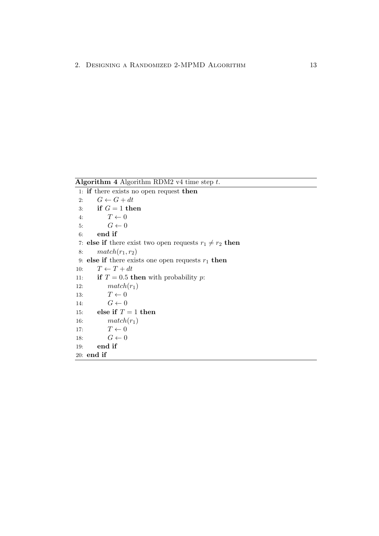Algorithm 4 Algorithm RDM2 v4 time step  $t$ .

<span id="page-16-0"></span>1: if there exists no open request then 2:  $G \leftarrow G + dt$ 3: if  $G = 1$  then 4:  $T \leftarrow 0$ 5:  $G \leftarrow 0$ 6: end if 7: else if there exist two open requests  $r_1 \neq r_2$  then 8:  $match(r_1, r_2)$ 9: else if there exists one open requests  $r_1$  then 10:  $T \leftarrow T + dt$ 11: **if**  $T = 0.5$  then with probability p: 12:  $match(r_1)$ 13:  $T \leftarrow 0$ 14:  $G \leftarrow 0$ 15: else if  $T = 1$  then 16:  $match(r_1)$ 17:  $T \leftarrow 0$ 18:  $G \leftarrow 0$ 19: end if 20: end if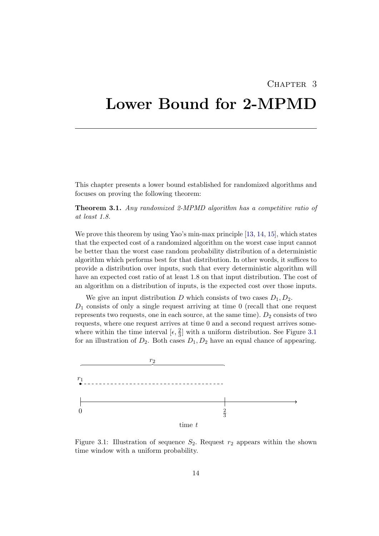### CHAPTER<sub>3</sub>

# <span id="page-17-0"></span>Lower Bound for 2-MPMD

This chapter presents a lower bound established for randomized algorithms and focuses on proving the following theorem:

Theorem 3.1. Any randomized 2-MPMD algorithm has a competitive ratio of at least 1.8.

We prove this theorem by using Yao's min-max principle [\[13,](#page-23-0) [14,](#page-23-1) [15\]](#page-23-2), which states that the expected cost of a randomized algorithm on the worst case input cannot be better than the worst case random probability distribution of a deterministic algorithm which performs best for that distribution. In other words, it suffices to provide a distribution over inputs, such that every deterministic algorithm will have an expected cost ratio of at least 1.8 on that input distribution. The cost of an algorithm on a distribution of inputs, is the expected cost over those inputs.

We give an input distribution D which consists of two cases  $D_1, D_2$ .  $D_1$  consists of only a single request arriving at time 0 (recall that one request represents two requests, one in each source, at the same time).  $D_2$  consists of two requests, where one request arrives at time 0 and a second request arrives somewhere within the time interval  $[\epsilon, \frac{2}{3}]$  with a uniform distribution. See Figure [3.1](#page-17-1) for an illustration of  $D_2$ . Both cases  $D_1, D_2$  have an equal chance of appearing.



<span id="page-17-1"></span>Figure 3.1: Illustration of sequence  $S_2$ . Request  $r_2$  appears within the shown time window with a uniform probability.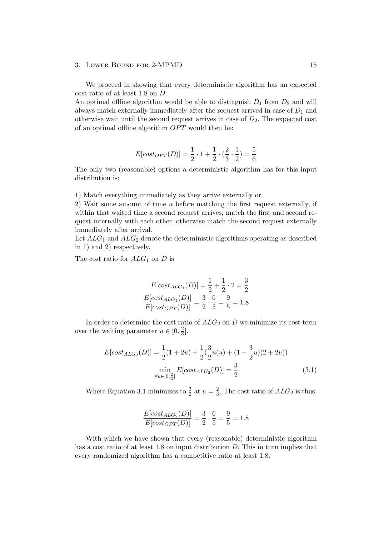#### 3. Lower Bound for 2-MPMD 15

We proceed in showing that every deterministic algorithm has an expected cost ratio of at least 1.8 on D.

An optimal offline algorithm would be able to distinguish  $D_1$  from  $D_2$  and will always match externally immediately after the request arrived in case of  $D_1$  and otherwise wait until the second request arrives in case of  $D_2$ . The expected cost of an optimal offline algorithm  $OPT$  would then be:

$$
E[cost_{OPT}(D)] = \frac{1}{2} \cdot 1 + \frac{1}{2} \cdot (\frac{2}{3} \cdot \frac{1}{2}) = \frac{5}{6}
$$

The only two (reasonable) options a deterministic algorithm has for this input distribution is:

1) Match everything immediately as they arrive externally or

2) Wait some amount of time u before matching the first request externally, if within that waited time a second request arrives, match the first and second request internally with each other, otherwise match the second request externally immediately after arrival.

Let  $ALG_1$  and  $ALG_2$  denote the deterministic algorithms operating as described in 1) and 2) respectively.

The cost ratio for  $ALG_1$  on D is

$$
E[cost_{ALG_1}(D)] = \frac{1}{2} + \frac{1}{2} \cdot 2 = \frac{3}{2}
$$

$$
\frac{E[cost_{ALG_1}(D)]}{E[cost_{OPT}(D)]} = \frac{3}{2} \cdot \frac{6}{5} = \frac{9}{5} = 1.8
$$

In order to determine the cost ratio of  $ALG_2$  on D we minimize its cost term over the waiting parameter  $u \in [0, \frac{2}{3}]$  $\frac{2}{3}$ .

$$
E[cost_{ALG_2}(D)] = \frac{1}{2}(1+2u) + \frac{1}{2}(\frac{3}{2}u(u) + (1-\frac{3}{2}u)(2+2u))
$$

$$
\min_{\forall u \in [0,\frac{2}{3}]} E[cost_{ALG_2}(D)] = \frac{3}{2}
$$
(3.1)

Where Equation [3.1](#page-18-0) minimizes to  $\frac{3}{2}$  at  $u = \frac{2}{3}$  $\frac{2}{3}$ . The cost ratio of  $ALG_2$  is thus:

<span id="page-18-0"></span>
$$
\frac{E[cost_{ALG_2}(D)]}{E[cost_{OPT}(D)]} = \frac{3}{2} \cdot \frac{6}{5} = \frac{9}{5} = 1.8
$$

With which we have shown that every (reasonable) deterministic algorithm has a cost ratio of at least 1.8 on input distribution D. This in turn implies that every randomized algorithm has a competitive ratio at least 1.8.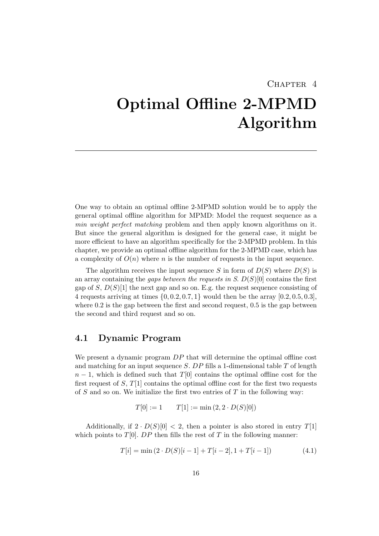#### CHAPTER<sub>4</sub>

# <span id="page-19-1"></span>Optimal Offline 2-MPMD Algorithm

One way to obtain an optimal offline 2-MPMD solution would be to apply the general optimal offline algorithm for MPMD: Model the request sequence as a min weight perfect matching problem and then apply known algorithms on it. But since the general algorithm is designed for the general case, it might be more efficient to have an algorithm specifically for the 2-MPMD problem. In this chapter, we provide an optimal offline algorithm for the 2-MPMD case, which has a complexity of  $O(n)$  where n is the number of requests in the input sequence.

The algorithm receives the input sequence S in form of  $D(S)$  where  $D(S)$  is an array containing the *gaps between the requests in S.*  $D(S)[0]$  contains the first gap of S,  $D(S)[1]$  the next gap and so on. E.g. the request sequence consisting of 4 requests arriving at times  $\{0, 0.2, 0.7, 1\}$  would then be the array  $[0.2, 0.5, 0.3]$ , where  $0.2$  is the gap between the first and second request,  $0.5$  is the gap between the second and third request and so on.

## <span id="page-19-0"></span>4.1 Dynamic Program

We present a dynamic program  $DP$  that will determine the optimal offline cost and matching for an input sequence S.  $DP$  fills a 1-dimensional table T of length  $n-1$ , which is defined such that  $T[0]$  contains the optimal offline cost for the first request of S,  $T[1]$  contains the optimal offline cost for the first two requests of S and so on. We initialize the first two entries of T in the following way:

$$
T[0] := 1 \qquad T[1] := \min(2, 2 \cdot D(S)[0])
$$

Additionally, if  $2 \cdot D(S)[0] < 2$ , then a pointer is also stored in entry  $T[1]$ which points to  $T[0]$ . DP then fills the rest of T in the following manner:

$$
T[i] = \min(2 \cdot D(S)[i-1] + T[i-2], 1 + T[i-1]) \tag{4.1}
$$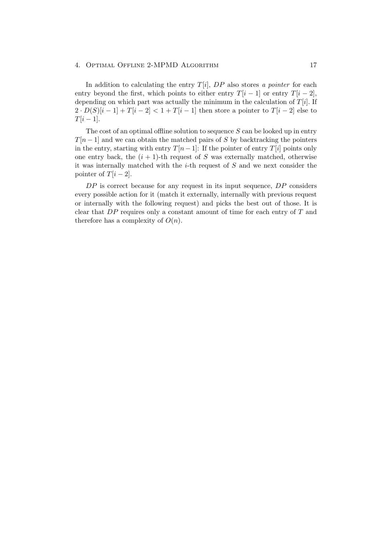#### 4. OPTIMAL OFFLINE 2-MPMD ALGORITHM 17

In addition to calculating the entry  $T[i]$ ,  $DP$  also stores a pointer for each entry beyond the first, which points to either entry  $T[i - 1]$  or entry  $T[i - 2]$ , depending on which part was actually the minimum in the calculation of  $T[i]$ . If  $2 \cdot D(S)[i-1] + T[i-2] < 1 + T[i-1]$  then store a pointer to  $T[i-2]$  else to  $T[i-1]$ .

The cost of an optimal offline solution to sequence  $S$  can be looked up in entry  $T[n-1]$  and we can obtain the matched pairs of S by backtracking the pointers in the entry, starting with entry  $T[n-1]$ : If the pointer of entry  $T[i]$  points only one entry back, the  $(i + 1)$ -th request of S was externally matched, otherwise it was internally matched with the  $i$ -th request of S and we next consider the pointer of  $T[i - 2]$ .

 $DP$  is correct because for any request in its input sequence,  $DP$  considers every possible action for it (match it externally, internally with previous request or internally with the following request) and picks the best out of those. It is clear that  $DP$  requires only a constant amount of time for each entry of  $T$  and therefore has a complexity of  $O(n)$ .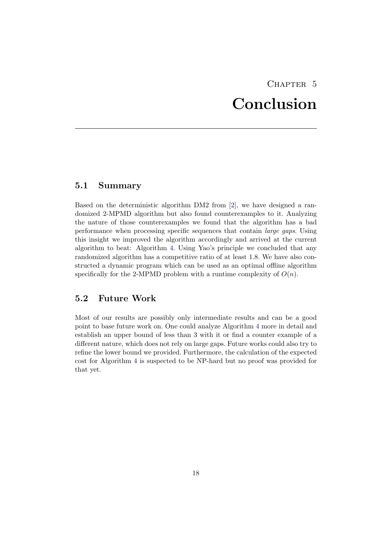## CHAPTER<sub>5</sub> Conclusion

## <span id="page-21-2"></span><span id="page-21-0"></span>5.1 Summary

Based on the deterministic algorithm DM2 from [2], we have designed a randomized 2-MPMD algorithm but also found counterexamples to it. Analyzing the nature of those counterexamples we found that the algorithm has a bad performance when processing specific sequences that contain large gaps. Using this insight we improved the algorithm accordingly and arrived at the current algorithm to beat: Algorithm 4. Using Yao's principle we concluded that any randomized algorithm has a competitive ratio of at least 1.8. We have also constructed a dynamic program which can be used as an optimal offline algorithm specifically for the 2-MPMD problem with a runtime complexity of  $O(n)$ .

### <span id="page-21-1"></span>5.2 Future Work

Most of our results are possibly only intermediate results and can be a good point to base future work on. One could analyze Algorithm 4 more in detail and establish an upper bound of less than 3 with it or find a counter example of a different nature, which does not rely on large gaps. Future works could also try to refine the lower bound we provided. Furthermore, the calculation of the expected cost for Algorithm 4 is suspected to be NP-hard but no proof was provided for that yet.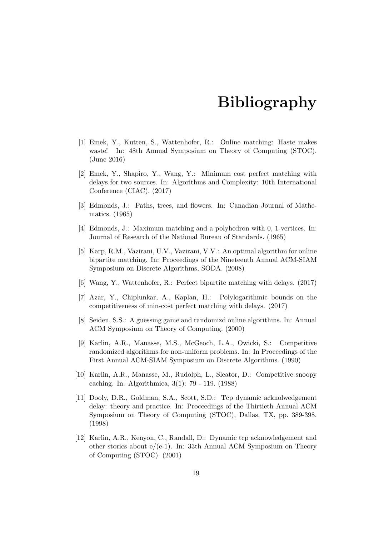## Bibliography

- <span id="page-22-2"></span><span id="page-22-0"></span>[1] Emek, Y., Kutten, S., Wattenhofer, R.: Online matching: Haste makes waste! In: 48th Annual Symposium on Theory of Computing (STOC). (June 2016)
- <span id="page-22-1"></span>[2] Emek, Y., Shapiro, Y., Wang, Y.: Minimum cost perfect matching with delays for two sources. In: Algorithms and Complexity: 10th International Conference (CIAC). (2017)
- <span id="page-22-3"></span>[3] Edmonds, J.: Paths, trees, and flowers. In: Canadian Journal of Mathematics. (1965)
- <span id="page-22-4"></span>[4] Edmonds, J.: Maximum matching and a polyhedron with 0, 1-vertices. In: Journal of Research of the National Bureau of Standards. (1965)
- <span id="page-22-8"></span>[5] Karp, R.M., Vazirani, U.V., Vazirani, V.V.: An optimal algorithm for online bipartite matching. In: Proceedings of the Nineteenth Annual ACM-SIAM Symposium on Discrete Algorithms, SODA. (2008)
- <span id="page-22-6"></span>[6] Wang, Y., Wattenhofer, R.: Perfect bipartite matching with delays. (2017)
- <span id="page-22-10"></span>[7] Azar, Y., Chiplunkar, A., Kaplan, H.: Polylogarithmic bounds on the competitiveness of min-cost perfect matching with delays. (2017)
- <span id="page-22-11"></span>[8] Seiden, S.S.: A guessing game and randomizd online algorithms. In: Annual ACM Symposium on Theory of Computing. (2000)
- <span id="page-22-5"></span>[9] Karlin, A.R., Manasse, M.S., McGeoch, L.A., Owicki, S.: Competitive randomized algorithms for non-uniform problems. In: In Proceedings of the First Annual ACM-SIAM Symposium on Discrete Algorithms. (1990)
- <span id="page-22-12"></span>[10] Karlin, A.R., Manasse, M., Rudolph, L., Sleator, D.: Competitive snoopy caching. In: Algorithmica, 3(1): 79 - 119. (1988)
- <span id="page-22-7"></span>[11] Dooly, D.R., Goldman, S.A., Scott, S.D.: Tcp dynamic acknolwedgement delay: theory and practice. In: Proceedings of the Thirtieth Annual ACM Symposium on Theory of Computing (STOC), Dallas, TX, pp. 389-398. (1998)
- <span id="page-22-9"></span>[12] Karlin, A.R., Kenyon, C., Randall, D.: Dynamic tcp acknowledgement and other stories about  $e/(e-1)$ . In: 33th Annual ACM Symposium on Theory of Computing (STOC). (2001)